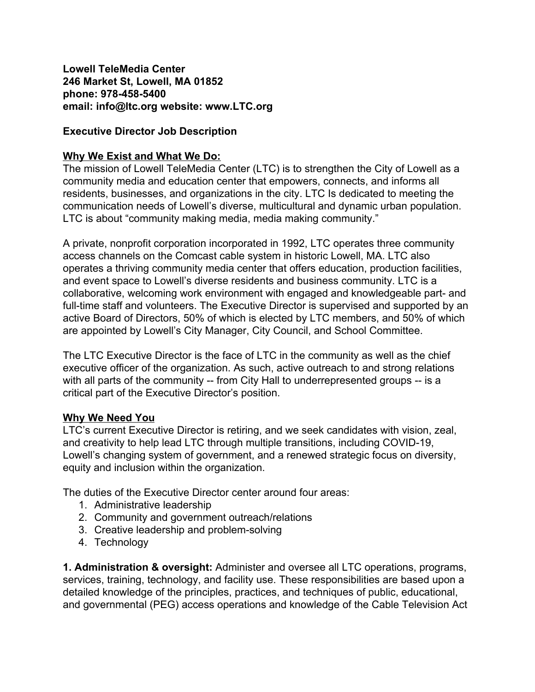**Lowell TeleMedia Center 246 Market St, Lowell, MA 01852 phone: 978-458-5400 email: info@ltc.org website: www.LTC.org**

## **Executive Director Job Description**

### **Why We Exist and What We Do:**

The mission of Lowell TeleMedia Center (LTC) is to strengthen the City of Lowell as a community media and education center that empowers, connects, and informs all residents, businesses, and organizations in the city. LTC Is dedicated to meeting the communication needs of Lowell's diverse, multicultural and dynamic urban population. LTC is about "community making media, media making community."

A private, nonprofit corporation incorporated in 1992, LTC operates three community access channels on the Comcast cable system in historic Lowell, MA. LTC also operates a thriving community media center that offers education, production facilities, and event space to Lowell's diverse residents and business community. LTC is a collaborative, welcoming work environment with engaged and knowledgeable part- and full-time staff and volunteers. The Executive Director is supervised and supported by an active Board of Directors, 50% of which is elected by LTC members, and 50% of which are appointed by Lowell's City Manager, City Council, and School Committee.

The LTC Executive Director is the face of LTC in the community as well as the chief executive officer of the organization. As such, active outreach to and strong relations with all parts of the community -- from City Hall to underrepresented groups -- is a critical part of the Executive Director's position.

### **Why We Need You**

LTC's current Executive Director is retiring, and we seek candidates with vision, zeal, and creativity to help lead LTC through multiple transitions, including COVID-19, Lowell's changing system of government, and a renewed strategic focus on diversity, equity and inclusion within the organization.

The duties of the Executive Director center around four areas:

- 1. Administrative leadership
- 2. Community and government outreach/relations
- 3. Creative leadership and problem-solving
- 4. Technology

**1. Administration & oversight:** Administer and oversee all LTC operations, programs, services, training, technology, and facility use. These responsibilities are based upon a detailed knowledge of the principles, practices, and techniques of public, educational, and governmental (PEG) access operations and knowledge of the Cable Television Act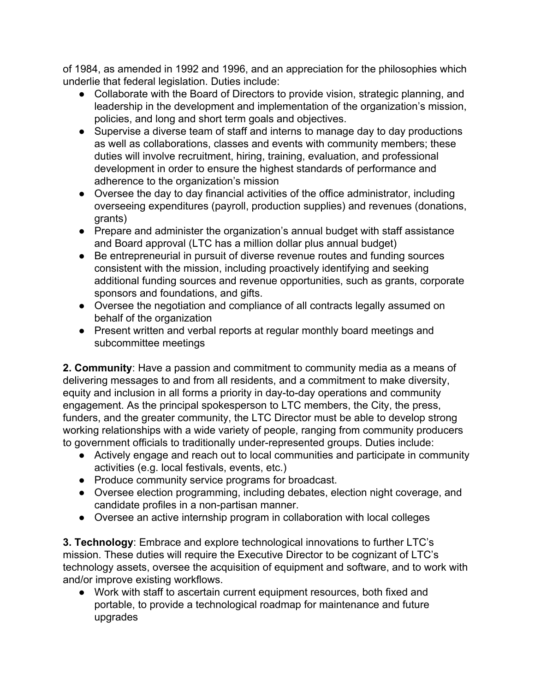of 1984, as amended in 1992 and 1996, and an appreciation for the philosophies which underlie that federal legislation. Duties include:

- Collaborate with the Board of Directors to provide vision, strategic planning, and leadership in the development and implementation of the organization's mission, policies, and long and short term goals and objectives.
- Supervise a diverse team of staff and interns to manage day to day productions as well as collaborations, classes and events with community members; these duties will involve recruitment, hiring, training, evaluation, and professional development in order to ensure the highest standards of performance and adherence to the organization's mission
- Oversee the day to day financial activities of the office administrator, including overseeing expenditures (payroll, production supplies) and revenues (donations, grants)
- Prepare and administer the organization's annual budget with staff assistance and Board approval (LTC has a million dollar plus annual budget)
- Be entrepreneurial in pursuit of diverse revenue routes and funding sources consistent with the mission, including proactively identifying and seeking additional funding sources and revenue opportunities, such as grants, corporate sponsors and foundations, and gifts.
- Oversee the negotiation and compliance of all contracts legally assumed on behalf of the organization
- Present written and verbal reports at regular monthly board meetings and subcommittee meetings

**2. Community**: Have a passion and commitment to community media as a means of delivering messages to and from all residents, and a commitment to make diversity, equity and inclusion in all forms a priority in day-to-day operations and community engagement. As the principal spokesperson to LTC members, the City, the press, funders, and the greater community, the LTC Director must be able to develop strong working relationships with a wide variety of people, ranging from community producers to government officials to traditionally under-represented groups. Duties include:

- Actively engage and reach out to local communities and participate in community activities (e.g. local festivals, events, etc.)
- Produce community service programs for broadcast.
- Oversee election programming, including debates, election night coverage, and candidate profiles in a non-partisan manner.
- Oversee an active internship program in collaboration with local colleges

**3. Technology**: Embrace and explore technological innovations to further LTC's mission. These duties will require the Executive Director to be cognizant of LTC's technology assets, oversee the acquisition of equipment and software, and to work with and/or improve existing workflows.

● Work with staff to ascertain current equipment resources, both fixed and portable, to provide a technological roadmap for maintenance and future upgrades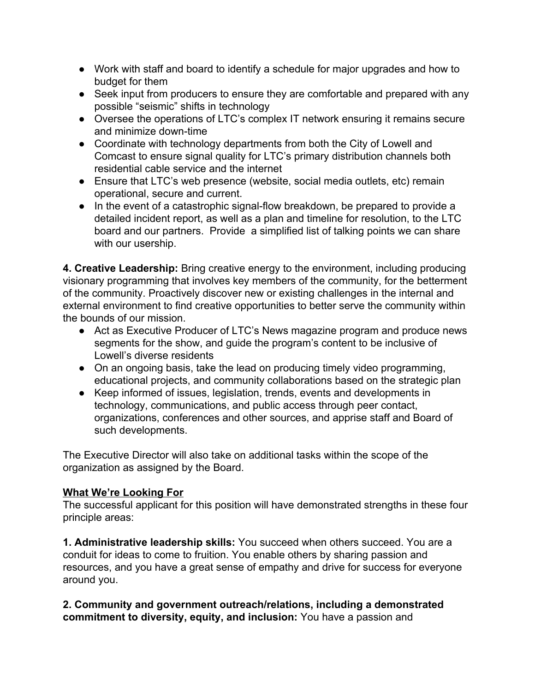- Work with staff and board to identify a schedule for major upgrades and how to budget for them
- Seek input from producers to ensure they are comfortable and prepared with any possible "seismic" shifts in technology
- Oversee the operations of LTC's complex IT network ensuring it remains secure and minimize down-time
- Coordinate with technology departments from both the City of Lowell and Comcast to ensure signal quality for LTC's primary distribution channels both residential cable service and the internet
- Ensure that LTC's web presence (website, social media outlets, etc) remain operational, secure and current.
- In the event of a catastrophic signal-flow breakdown, be prepared to provide a detailed incident report, as well as a plan and timeline for resolution, to the LTC board and our partners. Provide a simplified list of talking points we can share with our usership.

**4. Creative Leadership:** Bring creative energy to the environment, including producing visionary programming that involves key members of the community, for the betterment of the community. Proactively discover new or existing challenges in the internal and external environment to find creative opportunities to better serve the community within the bounds of our mission.

- Act as Executive Producer of LTC's News magazine program and produce news segments for the show, and guide the program's content to be inclusive of Lowell's diverse residents
- On an ongoing basis, take the lead on producing timely video programming, educational projects, and community collaborations based on the strategic plan
- Keep informed of issues, legislation, trends, events and developments in technology, communications, and public access through peer contact, organizations, conferences and other sources, and apprise staff and Board of such developments.

The Executive Director will also take on additional tasks within the scope of the organization as assigned by the Board.

# **What We're Looking For**

The successful applicant for this position will have demonstrated strengths in these four principle areas:

**1. Administrative leadership skills:** You succeed when others succeed. You are a conduit for ideas to come to fruition. You enable others by sharing passion and resources, and you have a great sense of empathy and drive for success for everyone around you.

**2. Community and government outreach/relations, including a demonstrated commitment to diversity, equity, and inclusion:** You have a passion and